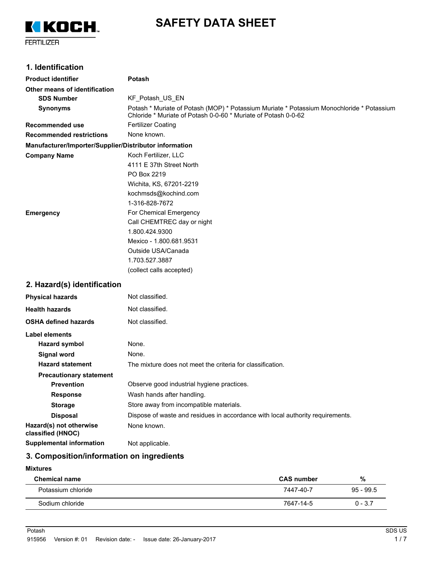

# **SAFETY DATA SHEET**

FERTILIZER

## **1. Identification**

| <b>Product identifier</b>                              | Potash                                                                                                                                                      |  |  |
|--------------------------------------------------------|-------------------------------------------------------------------------------------------------------------------------------------------------------------|--|--|
| Other means of identification                          |                                                                                                                                                             |  |  |
| <b>SDS Number</b>                                      | KF_Potash_US_EN                                                                                                                                             |  |  |
| <b>Synonyms</b>                                        | Potash * Muriate of Potash (MOP) * Potassium Muriate * Potassium Monochloride * Potassium<br>Chloride * Muriate of Potash 0-0-60 * Muriate of Potash 0-0-62 |  |  |
| Recommended use                                        | <b>Fertilizer Coating</b>                                                                                                                                   |  |  |
| <b>Recommended restrictions</b>                        | None known.                                                                                                                                                 |  |  |
| Manufacturer/Importer/Supplier/Distributor information |                                                                                                                                                             |  |  |
| <b>Company Name</b>                                    | Koch Fertilizer, LLC                                                                                                                                        |  |  |
|                                                        | 4111 E 37th Street North                                                                                                                                    |  |  |
|                                                        | PO Box 2219                                                                                                                                                 |  |  |
|                                                        | Wichita, KS, 67201-2219                                                                                                                                     |  |  |
|                                                        | kochmsds@kochind.com                                                                                                                                        |  |  |
|                                                        | 1-316-828-7672                                                                                                                                              |  |  |
| <b>Emergency</b>                                       | For Chemical Emergency                                                                                                                                      |  |  |
|                                                        | Call CHEMTREC day or night                                                                                                                                  |  |  |
|                                                        | 1.800.424.9300                                                                                                                                              |  |  |
|                                                        | Mexico - 1.800.681.9531                                                                                                                                     |  |  |
|                                                        | Outside USA/Canada                                                                                                                                          |  |  |
|                                                        | 1.703.527.3887                                                                                                                                              |  |  |
|                                                        | (collect calls accepted)                                                                                                                                    |  |  |
| 2. Hazard(s) identification                            |                                                                                                                                                             |  |  |
| <b>Physical hazards</b>                                | Not classified.                                                                                                                                             |  |  |
| <b>Health hazards</b>                                  | Not classified.                                                                                                                                             |  |  |
| <b>OSHA defined hazards</b>                            | Not classified.                                                                                                                                             |  |  |
| Label elements                                         |                                                                                                                                                             |  |  |
| <b>Hazard symbol</b>                                   | None.                                                                                                                                                       |  |  |
| Signal word                                            | None.                                                                                                                                                       |  |  |
| <b>Hazard statement</b>                                | The mixture does not meet the criteria for classification.                                                                                                  |  |  |
| <b>Precautionary statement</b>                         |                                                                                                                                                             |  |  |
| <b>Prevention</b>                                      | Observe good industrial hygiene practices.                                                                                                                  |  |  |
| <b>Response</b>                                        | Wash hands after handling.                                                                                                                                  |  |  |
| <b>Storage</b>                                         | Store away from incompatible materials.                                                                                                                     |  |  |
| <b>Disposal</b>                                        | Dispose of waste and residues in accordance with local authority requirements.                                                                              |  |  |
| Hazard(s) not otherwise<br>classified (HNOC)           | None known.                                                                                                                                                 |  |  |
| <b>Supplemental information</b>                        | Not applicable.                                                                                                                                             |  |  |

# **3. Composition/information on ingredients**

#### **Mixtures**

| <b>Chemical name</b> | <b>CAS number</b> | %           |
|----------------------|-------------------|-------------|
| Potassium chloride   | 7447-40-7         | $95 - 99.5$ |
| Sodium chloride      | 7647-14-5         | $0 - 3.7$   |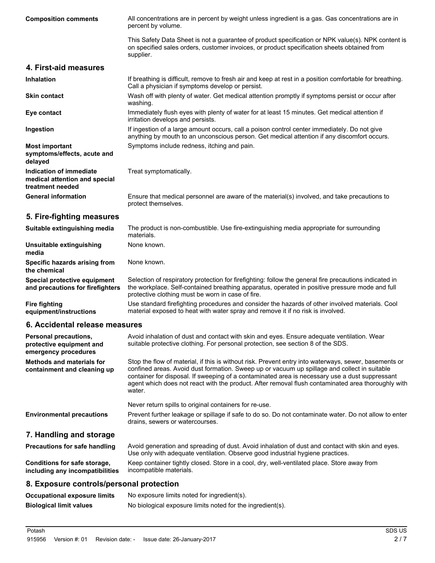| <b>Composition comments</b>                                                  | All concentrations are in percent by weight unless ingredient is a gas. Gas concentrations are in<br>percent by volume.                                                                                                                                                                                                                                                                                                 |
|------------------------------------------------------------------------------|-------------------------------------------------------------------------------------------------------------------------------------------------------------------------------------------------------------------------------------------------------------------------------------------------------------------------------------------------------------------------------------------------------------------------|
|                                                                              | This Safety Data Sheet is not a guarantee of product specification or NPK value(s). NPK content is<br>on specified sales orders, customer invoices, or product specification sheets obtained from<br>supplier.                                                                                                                                                                                                          |
| 4. First-aid measures                                                        |                                                                                                                                                                                                                                                                                                                                                                                                                         |
| <b>Inhalation</b>                                                            | If breathing is difficult, remove to fresh air and keep at rest in a position comfortable for breathing.<br>Call a physician if symptoms develop or persist.                                                                                                                                                                                                                                                            |
| <b>Skin contact</b>                                                          | Wash off with plenty of water. Get medical attention promptly if symptoms persist or occur after<br>washing.                                                                                                                                                                                                                                                                                                            |
| Eye contact                                                                  | Immediately flush eyes with plenty of water for at least 15 minutes. Get medical attention if<br>irritation develops and persists.                                                                                                                                                                                                                                                                                      |
| Ingestion                                                                    | If ingestion of a large amount occurs, call a poison control center immediately. Do not give<br>anything by mouth to an unconscious person. Get medical attention if any discomfort occurs.                                                                                                                                                                                                                             |
| <b>Most important</b><br>symptoms/effects, acute and<br>delayed              | Symptoms include redness, itching and pain.                                                                                                                                                                                                                                                                                                                                                                             |
| Indication of immediate<br>medical attention and special<br>treatment needed | Treat symptomatically.                                                                                                                                                                                                                                                                                                                                                                                                  |
| <b>General information</b>                                                   | Ensure that medical personnel are aware of the material(s) involved, and take precautions to<br>protect themselves.                                                                                                                                                                                                                                                                                                     |
| 5. Fire-fighting measures                                                    |                                                                                                                                                                                                                                                                                                                                                                                                                         |
| Suitable extinguishing media                                                 | The product is non-combustible. Use fire-extinguishing media appropriate for surrounding<br>materials.                                                                                                                                                                                                                                                                                                                  |
| Unsuitable extinguishing<br>media                                            | None known.                                                                                                                                                                                                                                                                                                                                                                                                             |
| Specific hazards arising from<br>the chemical                                | None known.                                                                                                                                                                                                                                                                                                                                                                                                             |
| Special protective equipment<br>and precautions for firefighters             | Selection of respiratory protection for firefighting: follow the general fire precautions indicated in<br>the workplace. Self-contained breathing apparatus, operated in positive pressure mode and full<br>protective clothing must be worn in case of fire.                                                                                                                                                           |
| <b>Fire fighting</b><br>equipment/instructions                               | Use standard firefighting procedures and consider the hazards of other involved materials. Cool<br>material exposed to heat with water spray and remove it if no risk is involved.                                                                                                                                                                                                                                      |
| 6. Accidental release measures                                               |                                                                                                                                                                                                                                                                                                                                                                                                                         |
| Personal precautions,<br>protective equipment and<br>emergency procedures    | Avoid inhalation of dust and contact with skin and eyes. Ensure adequate ventilation. Wear<br>suitable protective clothing. For personal protection, see section 8 of the SDS.                                                                                                                                                                                                                                          |
| <b>Methods and materials for</b><br>containment and cleaning up              | Stop the flow of material, if this is without risk. Prevent entry into waterways, sewer, basements or<br>confined areas. Avoid dust formation. Sweep up or vacuum up spillage and collect in suitable<br>container for disposal. If sweeping of a contaminated area is necessary use a dust suppressant<br>agent which does not react with the product. After removal flush contaminated area thoroughly with<br>water. |
|                                                                              | Never return spills to original containers for re-use.                                                                                                                                                                                                                                                                                                                                                                  |
| <b>Environmental precautions</b>                                             | Prevent further leakage or spillage if safe to do so. Do not contaminate water. Do not allow to enter<br>drains, sewers or watercourses.                                                                                                                                                                                                                                                                                |
| 7. Handling and storage                                                      |                                                                                                                                                                                                                                                                                                                                                                                                                         |
| Precautions for safe handling                                                | Avoid generation and spreading of dust. Avoid inhalation of dust and contact with skin and eyes.<br>Use only with adequate ventilation. Observe good industrial hygiene practices.                                                                                                                                                                                                                                      |
| Conditions for safe storage,<br>including any incompatibilities              | Keep container tightly closed. Store in a cool, dry, well-ventilated place. Store away from<br>incompatible materials.                                                                                                                                                                                                                                                                                                  |
| 8. Exposure controls/personal protection                                     |                                                                                                                                                                                                                                                                                                                                                                                                                         |
| Occupational exposure limite                                                 | No exposure limite noted for incredient(e)                                                                                                                                                                                                                                                                                                                                                                              |

| Occupational exposure limits   | <u>NO exposure limits noted for ingredient(S).</u>         |
|--------------------------------|------------------------------------------------------------|
| <b>Biological limit values</b> | No biological exposure limits noted for the ingredient(s). |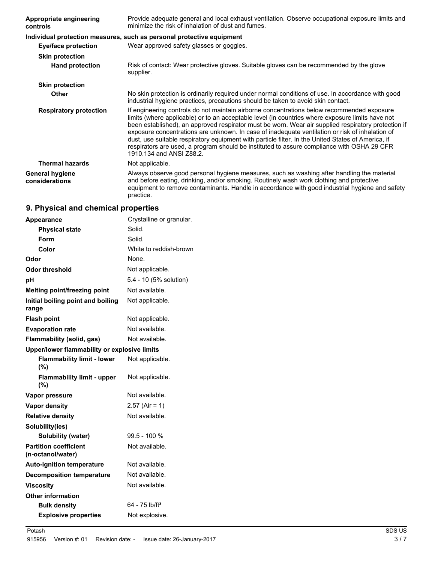| <b>Appropriate engineering</b><br>controls | Provide adequate general and local exhaust ventilation. Observe occupational exposure limits and<br>minimize the risk of inhalation of dust and fumes.                                                                                                                                                                                                                                                                                                                                                                                                                                                                                   |  |
|--------------------------------------------|------------------------------------------------------------------------------------------------------------------------------------------------------------------------------------------------------------------------------------------------------------------------------------------------------------------------------------------------------------------------------------------------------------------------------------------------------------------------------------------------------------------------------------------------------------------------------------------------------------------------------------------|--|
|                                            | Individual protection measures, such as personal protective equipment                                                                                                                                                                                                                                                                                                                                                                                                                                                                                                                                                                    |  |
| <b>Eye/face protection</b>                 | Wear approved safety glasses or goggles.                                                                                                                                                                                                                                                                                                                                                                                                                                                                                                                                                                                                 |  |
| <b>Skin protection</b>                     |                                                                                                                                                                                                                                                                                                                                                                                                                                                                                                                                                                                                                                          |  |
| <b>Hand protection</b>                     | Risk of contact: Wear protective gloves. Suitable gloves can be recommended by the glove<br>supplier.                                                                                                                                                                                                                                                                                                                                                                                                                                                                                                                                    |  |
| <b>Skin protection</b>                     |                                                                                                                                                                                                                                                                                                                                                                                                                                                                                                                                                                                                                                          |  |
| <b>Other</b>                               | No skin protection is ordinarily required under normal conditions of use. In accordance with good<br>industrial hygiene practices, precautions should be taken to avoid skin contact.                                                                                                                                                                                                                                                                                                                                                                                                                                                    |  |
| <b>Respiratory protection</b>              | If engineering controls do not maintain airborne concentrations below recommended exposure<br>limits (where applicable) or to an acceptable level (in countries where exposure limits have not<br>been established), an approved respirator must be worn. Wear air supplied respiratory protection if<br>exposure concentrations are unknown. In case of inadequate ventilation or risk of inhalation of<br>dust, use suitable respiratory equipment with particle filter. In the United States of America, if<br>respirators are used, a program should be instituted to assure compliance with OSHA 29 CFR<br>1910.134 and ANSI Z88.2. |  |
| <b>Thermal hazards</b>                     | Not applicable.                                                                                                                                                                                                                                                                                                                                                                                                                                                                                                                                                                                                                          |  |
| <b>General hygiene</b><br>considerations   | Always observe good personal hygiene measures, such as washing after handling the material<br>and before eating, drinking, and/or smoking. Routinely wash work clothing and protective<br>equipment to remove contaminants. Handle in accordance with good industrial hygiene and safety<br>practice.                                                                                                                                                                                                                                                                                                                                    |  |

# **9. Physical and chemical properties**

| Appearance                                        | Crystalline or granular.   |
|---------------------------------------------------|----------------------------|
| <b>Physical state</b>                             | Solid.                     |
| Form                                              | Solid.                     |
| Color                                             | White to reddish-brown     |
| Odor                                              | None.                      |
| Odor threshold                                    | Not applicable.            |
| рH                                                | 5.4 - 10 (5% solution)     |
| Melting point/freezing point                      | Not available.             |
| Initial boiling point and boiling<br>range        | Not applicable.            |
| <b>Flash point</b>                                | Not applicable.            |
| <b>Evaporation rate</b>                           | Not available.             |
| Flammability (solid, gas)                         | Not available.             |
| Upper/lower flammability or explosive limits      |                            |
| <b>Flammability limit - lower</b><br>(%)          | Not applicable.            |
| <b>Flammability limit - upper</b><br>(%)          | Not applicable.            |
| <b>Vapor pressure</b>                             | Not available.             |
| <b>Vapor density</b>                              | $2.57$ (Air = 1)           |
| <b>Relative density</b>                           | Not available.             |
| Solubility(ies)                                   |                            |
| Solubility (water)                                | $99.5 - 100 %$             |
| <b>Partition coefficient</b><br>(n-octanol/water) | Not available.             |
| <b>Auto-ignition temperature</b>                  | Not available.             |
| <b>Decomposition temperature</b>                  | Not available.             |
| <b>Viscosity</b>                                  | Not available.             |
| Other information                                 |                            |
| <b>Bulk density</b>                               | 64 - 75 lb/ft <sup>3</sup> |
| <b>Explosive properties</b>                       | Not explosive.             |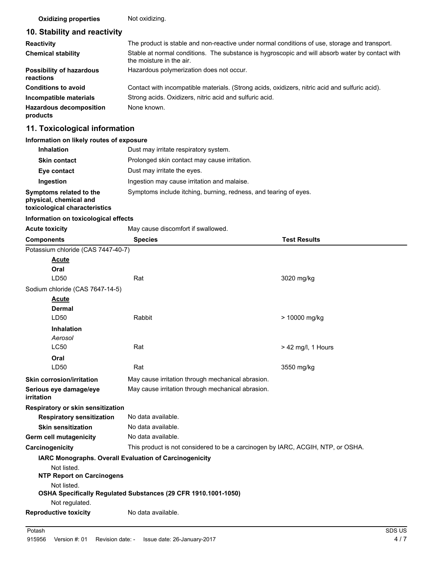**Oxidizing properties** Not oxidizing.

# **10. Stability and reactivity**

| <b>Reactivity</b>                            | The product is stable and non-reactive under normal conditions of use, storage and transport.                               |  |
|----------------------------------------------|-----------------------------------------------------------------------------------------------------------------------------|--|
| <b>Chemical stability</b>                    | Stable at normal conditions. The substance is hygroscopic and will absorb water by contact with<br>the moisture in the air. |  |
| <b>Possibility of hazardous</b><br>reactions | Hazardous polymerization does not occur.                                                                                    |  |
| <b>Conditions to avoid</b>                   | Contact with incompatible materials. (Strong acids, oxidizers, nitric acid and sulfuric acid).                              |  |
| Incompatible materials                       | Strong acids. Oxidizers, nitric acid and sulfuric acid.                                                                     |  |
| <b>Hazardous decomposition</b><br>products   | None known.                                                                                                                 |  |

# **11. Toxicological information**

#### **Information on likely routes of exposure**

| <b>Inhalation</b>                                                                  | Dust may irritate respiratory system.                            |
|------------------------------------------------------------------------------------|------------------------------------------------------------------|
| <b>Skin contact</b>                                                                | Prolonged skin contact may cause irritation.                     |
| Eye contact                                                                        | Dust may irritate the eyes.                                      |
| Ingestion                                                                          | Ingestion may cause irritation and malaise.                      |
| Symptoms related to the<br>physical, chemical and<br>toxicological characteristics | Symptoms include itching, burning, redness, and tearing of eyes. |

#### **Information on toxicological effects**

| <b>Acute toxicity</b>                | May cause discomfort if swallowed.                                              |                      |
|--------------------------------------|---------------------------------------------------------------------------------|----------------------|
| <b>Components</b>                    | <b>Species</b>                                                                  | <b>Test Results</b>  |
| Potassium chloride (CAS 7447-40-7)   |                                                                                 |                      |
| <b>Acute</b>                         |                                                                                 |                      |
| Oral                                 |                                                                                 |                      |
| LD50                                 | Rat                                                                             | 3020 mg/kg           |
| Sodium chloride (CAS 7647-14-5)      |                                                                                 |                      |
| <b>Acute</b>                         |                                                                                 |                      |
| <b>Dermal</b>                        |                                                                                 |                      |
| LD50                                 | Rabbit                                                                          | > 10000 mg/kg        |
| <b>Inhalation</b>                    |                                                                                 |                      |
| Aerosol                              |                                                                                 |                      |
| <b>LC50</b>                          | Rat                                                                             | $> 42$ mg/l, 1 Hours |
| Oral                                 |                                                                                 |                      |
| LD50                                 | Rat                                                                             | 3550 mg/kg           |
| <b>Skin corrosion/irritation</b>     | May cause irritation through mechanical abrasion.                               |                      |
| Serious eye damage/eye<br>irritation | May cause irritation through mechanical abrasion.                               |                      |
| Respiratory or skin sensitization    |                                                                                 |                      |
| <b>Respiratory sensitization</b>     | No data available.                                                              |                      |
| <b>Skin sensitization</b>            | No data available.                                                              |                      |
| Germ cell mutagenicity               | No data available.                                                              |                      |
| Carcinogenicity                      | This product is not considered to be a carcinogen by IARC, ACGIH, NTP, or OSHA. |                      |
|                                      | IARC Monographs. Overall Evaluation of Carcinogenicity                          |                      |
| Not listed.                          |                                                                                 |                      |
| <b>NTP Report on Carcinogens</b>     |                                                                                 |                      |
| Not listed.                          |                                                                                 |                      |
| Not regulated.                       | OSHA Specifically Regulated Substances (29 CFR 1910.1001-1050)                  |                      |
| <b>Reproductive toxicity</b>         | No data available.                                                              |                      |
|                                      |                                                                                 |                      |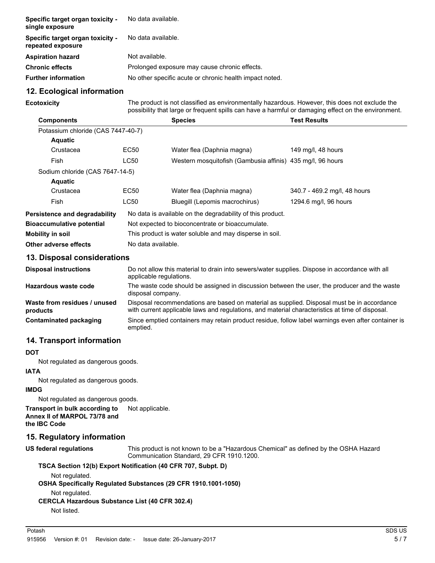| Specific target organ toxicity -<br>single exposure   | No data available.                                      |
|-------------------------------------------------------|---------------------------------------------------------|
| Specific target organ toxicity -<br>repeated exposure | No data available.                                      |
| <b>Aspiration hazard</b>                              | Not available.                                          |
| <b>Chronic effects</b>                                | Prolonged exposure may cause chronic effects.           |
| <b>Further information</b>                            | No other specific acute or chronic health impact noted. |

#### **12. Ecological information**

**Ecotoxicity**

The product is not classified as environmentally hazardous. However, this does not exclude the possibility that large or frequent spills can have a harmful or damaging effect on the environment.

| <b>Components</b>                  |                    | <b>Species</b>                                             | <b>Test Results</b>          |
|------------------------------------|--------------------|------------------------------------------------------------|------------------------------|
| Potassium chloride (CAS 7447-40-7) |                    |                                                            |                              |
| <b>Aquatic</b>                     |                    |                                                            |                              |
| Crustacea                          | EC50               | Water flea (Daphnia magna)                                 | 149 mg/l, 48 hours           |
| Fish                               | LC50               | Western mosquitofish (Gambusia affinis) 435 mg/l, 96 hours |                              |
| Sodium chloride (CAS 7647-14-5)    |                    |                                                            |                              |
| <b>Aquatic</b>                     |                    |                                                            |                              |
| Crustacea                          | EC50               | Water flea (Daphnia magna)                                 | 340.7 - 469.2 mg/l, 48 hours |
| Fish                               | <b>LC50</b>        | Bluegill (Lepomis macrochirus)                             | 1294.6 mg/l, 96 hours        |
| Persistence and degradability      |                    | No data is available on the degradability of this product. |                              |
| <b>Bioaccumulative potential</b>   |                    | Not expected to bioconcentrate or bioaccumulate.           |                              |
| Mobility in soil                   |                    | This product is water soluble and may disperse in soil.    |                              |
| Other adverse effects              | No data available. |                                                            |                              |

#### **13. Disposal considerations**

| <b>Disposal instructions</b>             | Do not allow this material to drain into sewers/water supplies. Dispose in accordance with all<br>applicable regulations.                                                                     |
|------------------------------------------|-----------------------------------------------------------------------------------------------------------------------------------------------------------------------------------------------|
| Hazardous waste code                     | The waste code should be assigned in discussion between the user, the producer and the waste<br>disposal company.                                                                             |
| Waste from residues / unused<br>products | Disposal recommendations are based on material as supplied. Disposal must be in accordance<br>with current applicable laws and regulations, and material characteristics at time of disposal. |
| Contaminated packaging                   | Since emptied containers may retain product residue, follow label warnings even after container is<br>emptied.                                                                                |

#### **14. Transport information**

#### **DOT**

Not regulated as dangerous goods.

# **IATA**

Not regulated as dangerous goods.

#### **IMDG**

Not regulated as dangerous goods.

**Transport in bulk according to** Not applicable. **Annex II of MARPOL 73/78 and the IBC Code**

# **15. Regulatory information**

**US federal regulations**

This product is not known to be a "Hazardous Chemical" as defined by the OSHA Hazard Communication Standard, 29 CFR 1910.1200.

#### **TSCA Section 12(b) Export Notification (40 CFR 707, Subpt. D)**

Not regulated.

**OSHA Specifically Regulated Substances (29 CFR 1910.1001-1050)**

Not regulated.

#### **CERCLA Hazardous Substance List (40 CFR 302.4)**

Not listed.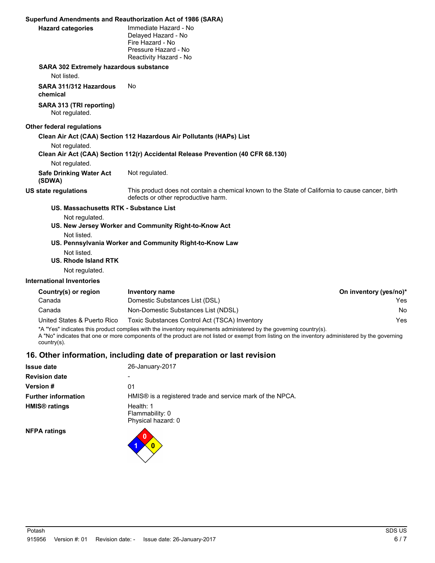|                                                                      | Superfund Amendments and Reauthorization Act of 1986 (SARA)                                                                             |                        |
|----------------------------------------------------------------------|-----------------------------------------------------------------------------------------------------------------------------------------|------------------------|
| <b>Hazard categories</b>                                             | Immediate Hazard - No<br>Delayed Hazard - No<br>Fire Hazard - No<br>Pressure Hazard - No<br>Reactivity Hazard - No                      |                        |
| SARA 302 Extremely hazardous substance                               |                                                                                                                                         |                        |
| Not listed.                                                          |                                                                                                                                         |                        |
| SARA 311/312 Hazardous<br>chemical                                   | No                                                                                                                                      |                        |
| SARA 313 (TRI reporting)<br>Not regulated.                           |                                                                                                                                         |                        |
| <b>Other federal regulations</b>                                     |                                                                                                                                         |                        |
|                                                                      | Clean Air Act (CAA) Section 112 Hazardous Air Pollutants (HAPs) List                                                                    |                        |
| Not regulated.                                                       | Clean Air Act (CAA) Section 112(r) Accidental Release Prevention (40 CFR 68.130)                                                        |                        |
| Not regulated.                                                       |                                                                                                                                         |                        |
| <b>Safe Drinking Water Act</b><br>(SDWA)                             | Not regulated.                                                                                                                          |                        |
| <b>US state regulations</b>                                          | This product does not contain a chemical known to the State of California to cause cancer, birth<br>defects or other reproductive harm. |                        |
| US. Massachusetts RTK - Substance List                               |                                                                                                                                         |                        |
| Not regulated.                                                       | US. New Jersey Worker and Community Right-to-Know Act                                                                                   |                        |
| Not listed.<br>Not listed.<br>US. Rhode Island RTK<br>Not regulated. | US. Pennsylvania Worker and Community Right-to-Know Law                                                                                 |                        |
| <b>International Inventories</b>                                     |                                                                                                                                         |                        |
| Country(s) or region                                                 | Inventory name                                                                                                                          | On inventory (yes/no)* |
| Canada                                                               | Domestic Substances List (DSL)                                                                                                          | Yes                    |
| Canada                                                               | Non-Domestic Substances List (NDSL)                                                                                                     | No                     |
| United States & Puerto Rico                                          | Toxic Substances Control Act (TSCA) Inventory                                                                                           | Yes                    |

\*A "Yes" indicates this product complies with the inventory requirements administered by the governing country(s).

A "No" indicates that one or more components of the product are not listed or exempt from listing on the inventory administered by the governing country(s).

# **16. Other information, including date of preparation or last revision**

**1 0 0**

| <b>Issue date</b>               | 26-January-2017                                                       |  |
|---------------------------------|-----------------------------------------------------------------------|--|
| <b>Revision date</b>            |                                                                       |  |
| <b>Version#</b>                 | 01                                                                    |  |
| <b>Further information</b>      | HMIS <sup>®</sup> is a registered trade and service mark of the NPCA. |  |
| <b>HMIS<sup>®</sup></b> ratings | Health: 1<br>Flammability: 0<br>Physical hazard: 0                    |  |
| $NFD\Delta$ ratings             |                                                                       |  |

**NFPA ratings**